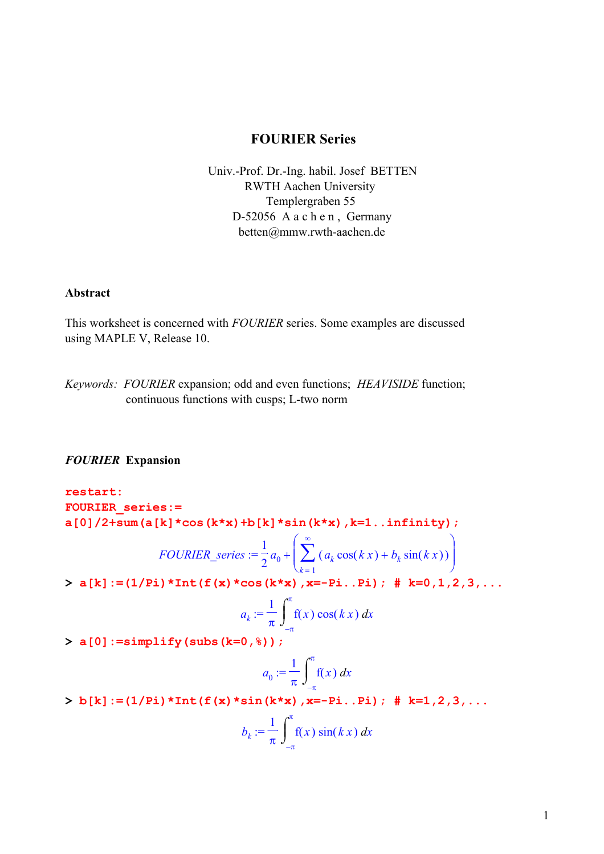## **FOURIER Series**

 Univ.-Prof. Dr.-Ing. habil. Josef BETTEN RWTH Aachen University Templergraben 55 D-52056 A a c h e n , Germany betten@mmw.rwth-aachen.de

#### **Abstract**

This worksheet is concerned with *FOURIER* series. Some examples are discussed using MAPLE V, Release 10.

*Keywords: FOURIER* expansion; odd and even functions; *HEAVISIDE* function; continuous functions with cusps; L-two norm

## *FOURIER* **Expansion**

**restart: FOURIER\_series:= a[0]/2+sum(a[k]\*cos(k\*x)+b[k]\*sin(k\*x),k=1..infinity);**

$$
FOURIER\_series := \frac{1}{2} a_0 + \left( \sum_{k=1}^{\infty} \left( a_k \cos(kx) + b_k \sin(kx) \right) \right)
$$

 $> a[k] := (1/pi) * Int(f(x) * cos(k*x), x=-Pi..Pi);$  #  $k=0,1,2,3,...$ 

$$
a_k := \frac{1}{\pi} \int_{-\pi}^{\pi} f(x) \cos(kx) dx
$$

**> a[0]:=simplify(subs(k=0,%));**

$$
a_0 := \frac{1}{\pi} \int_{-\pi}^{\pi} f(x) \, dx
$$

**> b[k]:=(1/Pi)\*Int(f(x)\*sin(k\*x),x=-Pi..Pi); # k=1,2,3,...**

$$
b_k := \frac{1}{\pi} \int_{-\pi}^{\pi} f(x) \sin(k x) dx
$$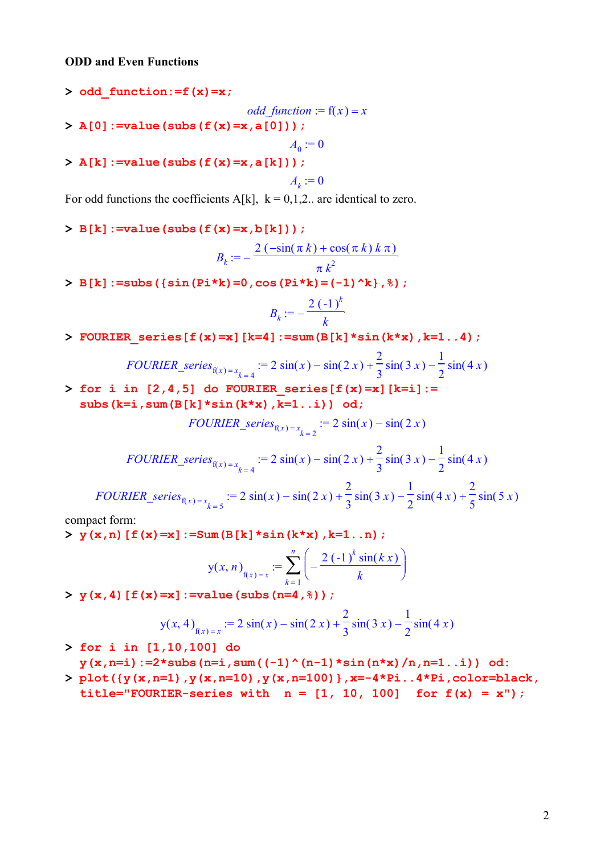### **ODD and Even Functions**

**> odd\_function:=f(x)=x;**

*odd\_function* :=  $f(x) = x$ 

**> A[0]:=value(subs(f(x)=x,a[0]));**

**> A[k]:=value(subs(f(x)=x,a[k]));**

$$
A_k:=0
$$

 $A_0 := 0$ 

For odd functions the coefficients A[k],  $k = 0,1,2$ . are identical to zero.

**> B[k]:=value(subs(f(x)=x,b[k]));**

$$
B_k := -\frac{2\left(-\sin(\pi k) + \cos(\pi k) k \pi\right)}{\pi k^2}
$$

**> B[k]:=subs({sin(Pi\*k)=0,cos(Pi\*k)=(-1)^k},%);**

$$
B_k := -\frac{2(-1)^k}{k}
$$

**> FOURIER\_series[f(x)=x][k=4]:=sum(B[k]\*sin(k\*x),k=1..4);**

*FOURIER\_series*<sub>f(x)=x<sub>k=4</sub></sub> := 2 sin(x) – sin(2 x) + 
$$
\frac{2}{3}
$$
 sin(3 x) –  $\frac{1}{2}$  sin(4 x)

**> for i in [2,4,5] do FOURIER\_series[f(x)=x][k=i]:= subs(k=i,sum(B[k]\*sin(k\*x),k=1..i)) od;**

$$
FOURIER\_series_{f(x)=x_{k=2}} := 2\sin(x) - \sin(2x)
$$

*FOURIER\_series*<sub>f(x)=x<sub>k=4</sub></sub> := 2 sin(x) – sin(2 x) + 
$$
\frac{2}{3}
$$
 sin(3 x) –  $\frac{1}{2}$  sin(4 x)

*FOURIER\_series*<sub>f(x)=x<sub>k=5</sub></sub> := 2 sin(x) - sin(2x) + 
$$
\frac{2}{3}
$$
 sin(3x) -  $\frac{1}{2}$  sin(4x) +  $\frac{2}{5}$  sin(5x)

compact form:

**> y(x,n)[f(x)=x]:=Sum(B[k]\*sin(k\*x),k=1..n);**

$$
y(x, n)_{f(x)=x}
$$
 := 
$$
\sum_{k=1}^{n} \left( -\frac{2 (-1)^k \sin(k x)}{k} \right)
$$

**> y(x,4)[f(x)=x]:=value(subs(n=4,%));**

$$
y(x, 4)
$$
<sub>f(x)=x</sub> := 2 sin(x) - sin(2x) +  $\frac{2}{3}$  sin(3x) -  $\frac{1}{2}$  sin(4x)

**> for i in [1,10,100] do** 

**y(x,n=i):=2\*subs(n=i,sum((-1)^(n-1)\*sin(n\*x)/n,n=1..i)) od:**

**> plot({y(x,n=1),y(x,n=10),y(x,n=100)},x=-4\*Pi..4\*Pi,color=black,**  title="FOURIER-series with  $n = [1, 10, 100]$  for  $f(x) = x$ ");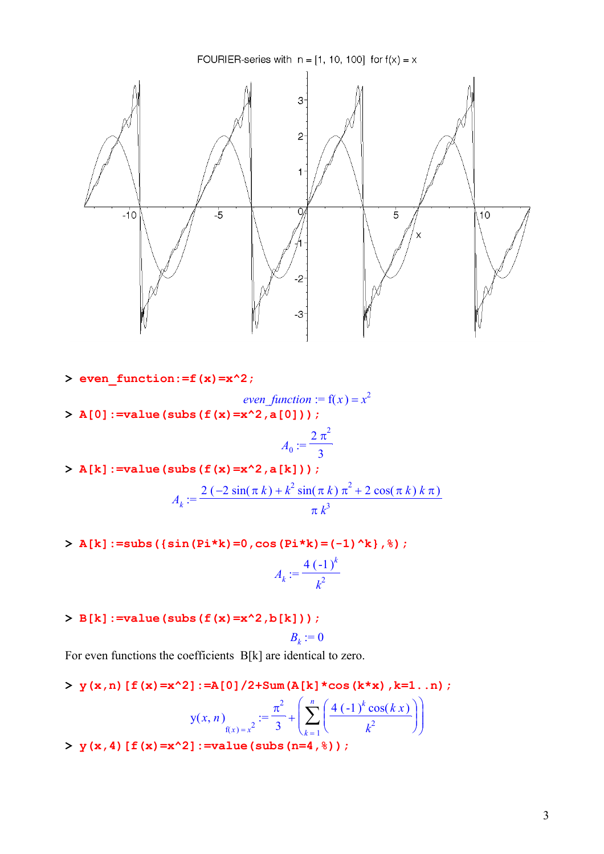

- **> even\_function:=f(x)=x^2;**
- *even* function :=  $f(x) = x^2$ **> A[0]:=value(subs(f(x)=x^2,a[0]));**

$$
A_0:=\frac{2\pi^2}{3}
$$

 $> A[k] := value(subs(f(x)=x^2, a[k]))$ ;

$$
A_k := \frac{2(-2\sin(\pi k) + k^2\sin(\pi k)\pi^2 + 2\cos(\pi k) k\pi)}{\pi k^3}
$$

**> A[k]:=subs({sin(Pi\*k)=0,cos(Pi\*k)=(-1)^k},%);**

$$
A_k := \frac{4(-1)^k}{k^2}
$$

**> B[k]:=value(subs(f(x)=x^2,b[k]));**

$$
B_k:=0
$$

For even functions the coefficients B[k] are identical to zero.

**> y(x,n)[f(x)=x^2]:=A[0]/2+Sum(A[k]\*cos(k\*x),k=1..n);**

$$
y(x, n)_{f(x)=x^2}
$$
 :=  $\frac{\pi^2}{3} + \left(\sum_{k=1}^n \left(\frac{4(-1)^k \cos(kx)}{k^2}\right)\right)$ 

**> y(x,4)[f(x)=x^2]:=value(subs(n=4,%));**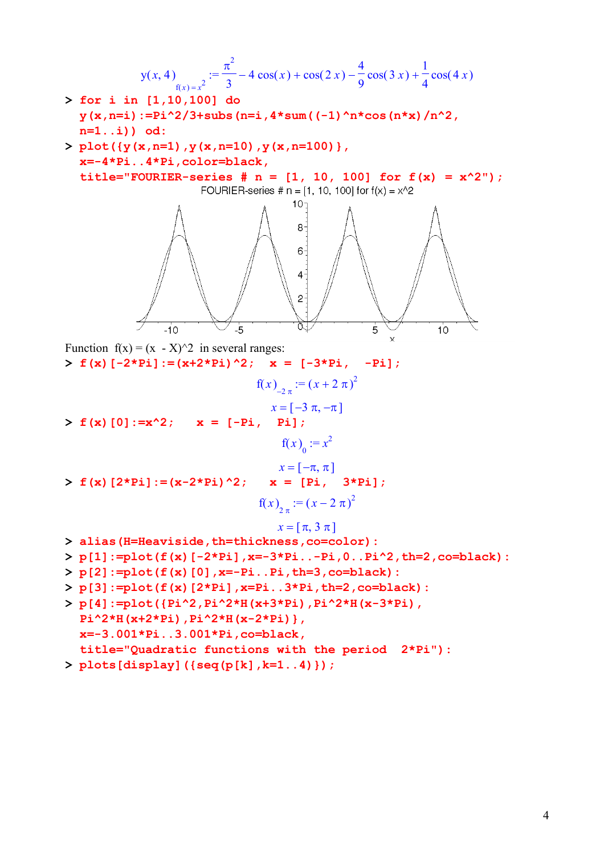y(x, 4)  
\n
$$
y(x, 4) = \frac{\pi^2}{3} - 4 \cos(x) + \cos(2x) - \frac{4}{9} \cos(3x) + \frac{1}{4} \cos(4x)
$$
\n>For i in [1,10,100] do  
\ny(x, n=i) := P<sup>1</sup>2/3+subs (n=i, 4\*sum((-1)^n)\*cos(n\*x)/n^2,  
\nn=1..i) = 0:2  
\n> plot(y(x, n=1), y(x, n=10), y(x, n=100)),  
\nx=-4\*Pi:.4\*Pi; color=black,  
\ntitle="FOURIER-series # n = [1, 10, 100] for f(x) = x^2/") ;  
\nFOLRIER-series # n = [1, 10, 100] for f(x) = x^2/") ;  
\nFOLRIER-series # n = [1, 10, 100] for f(x) = x^2/") ;  
\nFOLRIER-series # n = [1, 10, 100] for f(x) = x^2/") ;  
\n6  
\nFunction f(x) = (x - X)/2 in several ranges:  
\n> f(x) [-2\*Pi]:=(x+2\*Pi)^2; x = [-3\*Pi, -F]  
\n> f(x) [0]:=x^2/2; x = [-Pi, -H]  
\n
$$
f(x) = \frac{\pi}{3} - \pi, \pi
$$
\n> f(x) [2\*Pi]:=(x-2\*DI)^2; x = [F1, 3\*Pi];  
\n
$$
f(x) = \frac{x}{2} - \frac{x}{2} = \frac{x}{x-1}, \frac{3*Pi}{x-2}
$$
\n> alias (H=Heaviside, th=thickness, co=color):  
\n> p[1]:=plot(f(x) [-2\*Pi], x=-3\*Pi...-Pi, 0..Pi^2, th=2, co=black) ;  
\n> p[2]:=plot(f(x) [0], x=-Pi:.Pi; th=3, co=black);  
\n
$$
p[3]:=plot(f(x) [0], x=-Pi:.Pi; th=3, co=black);
$$
\n
$$
p[4]:=plot(f(x) [0], x=-Pi:.Pi; th=2, co=black);
$$
\n
$$
p[3]:=plot(f(x) [2*Pi], x=2*Pi:.2*H(x-2*Pi), p=2*H(x-3*Pi); p=2*H(x-3*Pi);
$$
\n
$$
p=3.001*Pi
$$

**> plots[display]({seq(p[k],k=1..4)});**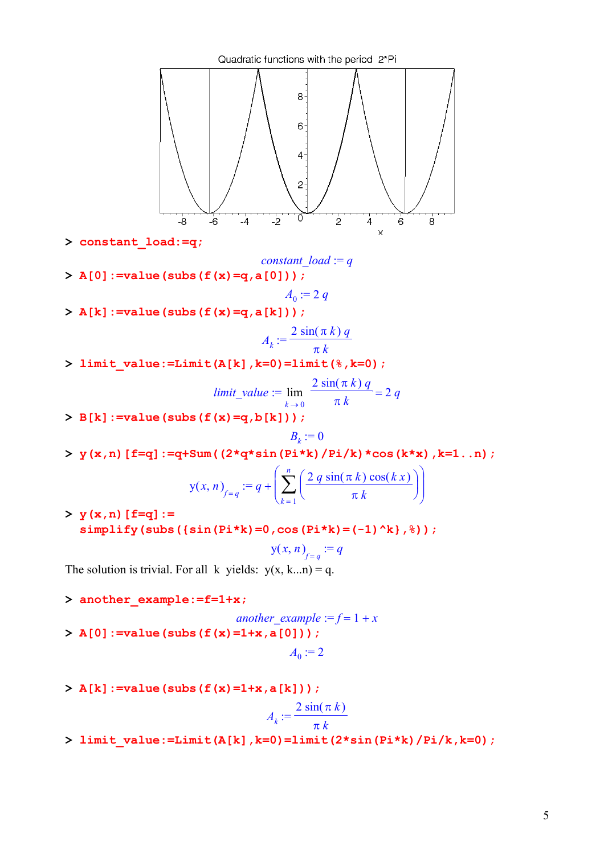

**> constant\_load:=q;**

*constant\_load :=*  $q$ 

**> A[0]:=value(subs(f(x)=q,a[0]));**

$$
A_0 := 2 q
$$

**> A[k]:=value(subs(f(x)=q,a[k]));**

$$
A_k := \frac{2\sin(\pi k) q}{\pi k}
$$

**> limit\_value:=Limit(A[k],k=0)=limit(%,k=0);**

$$
limit\_value := \lim_{k \to 0} \frac{2 \sin(\pi k) q}{\pi k} = 2 q
$$

**> B[k]:=value(subs(f(x)=q,b[k]));**

$$
B_k:=0
$$

**> y(x,n)[f=q]:=q+Sum((2\*q\*sin(Pi\*k)/Pi/k)\*cos(k\*x),k=1..n);**

$$
y(x, n)_{f=q} := q + \left(\sum_{k=1}^{n} \left(\frac{2 q \sin(\pi k) \cos(k x)}{\pi k}\right)\right)
$$

**> y(x,n)[f=q]:= simplify(subs({sin(Pi\*k)=0,cos(Pi\*k)=(-1)^k},%));**

$$
\mathsf{y}(x,n)_{f=q}:=q
$$

The solution is trivial. For all k yields:  $y(x, k...n) = q$ .

**> another\_example:=f=1+x;**

*another example* :=  $f = 1 + x$ **> A[0]:=value(subs(f(x)=1+x,a[0]));**  $A_0 := 2$ 

**> A[k]:=value(subs(f(x)=1+x,a[k]));**

$$
A_k := \frac{2\sin(\pi k)}{\pi k}
$$

**> limit\_value:=Limit(A[k],k=0)=limit(2\*sin(Pi\*k)/Pi/k,k=0);**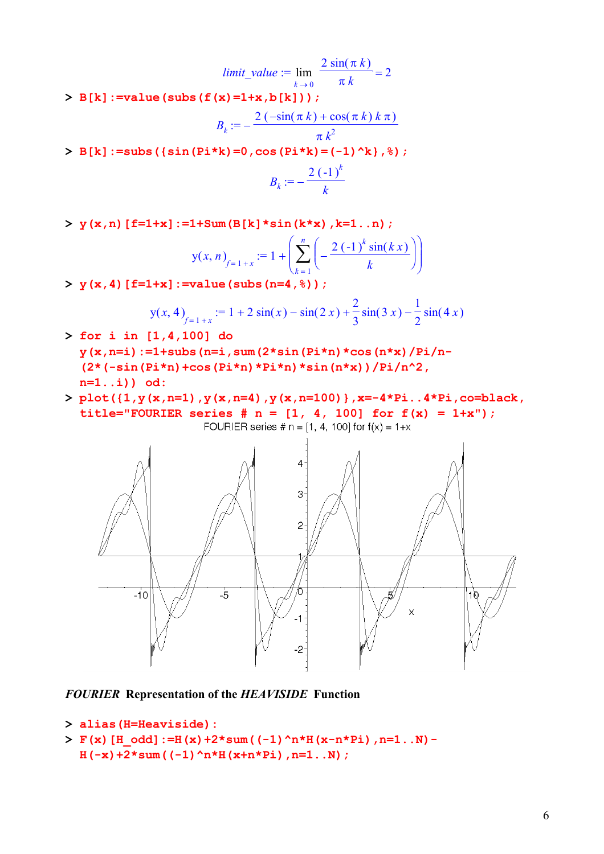*limit\_value* :=  $\lim_{x \to 0} \frac{2 \sin(x+y)}{x}$  =  $k \rightarrow 0$  $2\sin(\pi k)$ π *k* 2

**> B[k]:=value(subs(f(x)=1+x,b[k]));**

$$
B_k := -\frac{2(-\sin(\pi k) + \cos(\pi k) k \pi)}{\pi k^2}
$$

**> B[k]:=subs({sin(Pi\*k)=0,cos(Pi\*k)=(-1)^k},%);**

$$
B_k := -\frac{2(-1)^k}{k}
$$

**> y(x,n)[f=1+x]:=1+Sum(B[k]\*sin(k\*x),k=1..n);**

$$
y(x, n)_{f=1+x} := 1 + \left(\sum_{k=1}^{n} \left(-\frac{2(-1)^k \sin(kx)}{k}\right)\right)
$$

**> y(x,4)[f=1+x]:=value(subs(n=4,%));**

$$
y(x, 4)_{f=1+x} := 1 + 2\sin(x) - \sin(2x) + \frac{2}{3}\sin(3x) - \frac{1}{2}\sin(4x)
$$

- **> for i in [1,4,100] do y(x,n=i):=1+subs(n=i,sum(2\*sin(Pi\*n)\*cos(n\*x)/Pi/n- (2\*(-sin(Pi\*n)+cos(Pi\*n)\*Pi\*n)\*sin(n\*x))/Pi/n^2, n=1..i)) od:**
- **> plot({1,y(x,n=1),y(x,n=4),y(x,n=100)},x=-4\*Pi..4\*Pi,co=black,**  title="FOURIER series  $# n = [1, 4, 100]$  for  $f(x) = 1+x$ "); FOURIER series #  $n = [1, 4, 100]$  for  $f(x) = 1+x$



*FOURIER* **Representation of the** *HEAVISIDE* **Function** 

```
> alias(H=Heaviside):
```

```
> F(x)[H_odd]:=H(x)+2*sum((-1)^n*H(x-n*Pi),n=1..N)- 
 H(-x)+2*sum((-1)^n*H(x+n*Pi),n=1..N);
```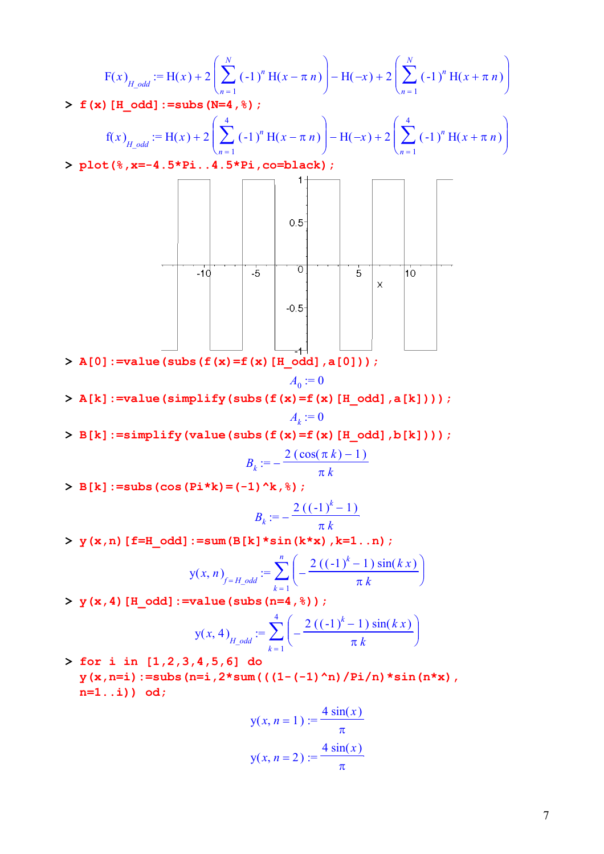$$
\begin{aligned} \text{F}(x)_{H\_odd} &:= \text{H}(x) + 2 \left( \sum_{n=1}^{N} (-1)^n \, \text{H}(x - \pi \, n) \right) - \text{H}(-x) + 2 \left( \sum_{n=1}^{N} (-1)^n \, \text{H}(x + \pi \, n) \right) \\ > \, \text{f}(\mathbf{x}) \, [\text{H\_odd}] := \text{subs} \, (\mathbf{N} = 4, \, \text{S}) \, ; \end{aligned}
$$

$$
f(x)_{H_2 odd} := H(x) + 2\left(\sum_{n=1}^{4} (-1)^n H(x - \pi n)\right) - H(-x) + 2\left(\sum_{n=1}^{4} (-1)^n H(x + \pi n)\right)
$$

**> plot(%,x=-4.5\*Pi..4.5\*Pi,co=black);**



**> A[0]:=value(subs(f(x)=f(x)[H\_odd],a[0]));**

$$
A_0:=0
$$

**> A[k]:=value(simplify(subs(f(x)=f(x)[H\_odd],a[k])));**  $A_k := 0$ 

**> B[k]:=simplify(value(subs(f(x)=f(x)[H\_odd],b[k])));**

$$
B_k := -\frac{2(\cos(\pi k) - 1)}{\pi k}
$$

**> B[k]:=subs(cos(Pi\*k)=(-1)^k,%);**

$$
B_k := -\frac{2 ((-1)^k - 1)}{\pi k}
$$

**> y(x,n)[f=H\_odd]:=sum(B[k]\*sin(k\*x),k=1..n);**

$$
y(x, n)_{f=H\_odd} := \sum_{k=1}^{n} \left( -\frac{2 ((-1)^{k} - 1) \sin(k x)}{\pi k} \right)
$$

 $> y(x, 4)$  [H odd]:=value(subs(n=4,  $)$ );

$$
y(x, 4)_{H_1 odd} := \sum_{k=1}^{4} \left( -\frac{2 ((-1)^k - 1) \sin(k x)}{\pi k} \right)
$$

**> for i in [1,2,3,4,5,6] do y(x,n=i):=subs(n=i,2\*sum(((1-(-1)^n)/Pi/n)\*sin(n\*x), n=1..i)) od;** 

$$
y(x, n = 1) := \frac{4 \sin(x)}{\pi}
$$

$$
y(x, n = 2) := \frac{4 \sin(x)}{\pi}
$$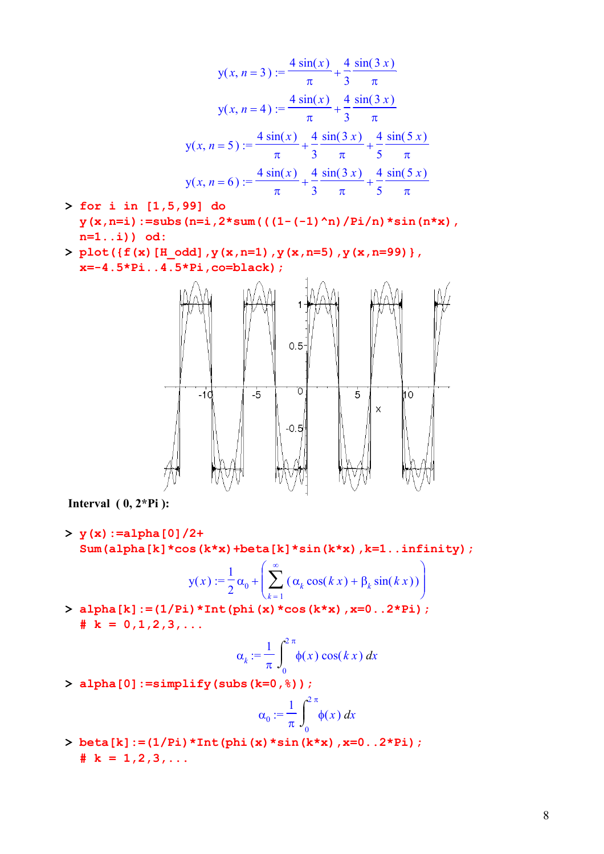$$
y(x, n = 3) := \frac{4 \sin(x)}{\pi} + \frac{4}{3} \frac{\sin(3 x)}{\pi}
$$
  

$$
y(x, n = 4) := \frac{4 \sin(x)}{\pi} + \frac{4}{3} \frac{\sin(3 x)}{\pi}
$$
  

$$
y(x, n = 5) := \frac{4 \sin(x)}{\pi} + \frac{4}{3} \frac{\sin(3 x)}{\pi} + \frac{4}{5} \frac{\sin(5 x)}{\pi}
$$
  

$$
y(x, n = 6) := \frac{4 \sin(x)}{\pi} + \frac{4}{3} \frac{\sin(3 x)}{\pi} + \frac{4}{5} \frac{\sin(5 x)}{\pi}
$$

- **> for i in [1,5,99] do y(x,n=i):=subs(n=i,2\*sum(((1-(-1)^n)/Pi/n)\*sin(n\*x), n=1..i)) od:**
- $> plot({f(x)[H odd], y(x,n=1), y(x,n=5), y(x,n=99)}$ **x=-4.5\*Pi..4.5\*Pi,co=black);**



 **Interval ( 0, 2\*Pi ):**

**> y(x):=alpha[0]/2+ Sum(alpha[k]\*cos(k\*x)+beta[k]\*sin(k\*x),k=1..infinity);**

$$
y(x) := \frac{1}{2}\alpha_0 + \left(\sum_{k=1}^{\infty} \left(\alpha_k \cos(kx) + \beta_k \sin(kx)\right)\right)
$$

**> alpha[k]:=(1/Pi)\*Int(phi(x)\*cos(k\*x),x=0..2\*Pi);**   $\# k = 0, 1, 2, 3, \ldots$ 

$$
\alpha_k := \frac{1}{\pi} \int_0^{2\pi} \phi(x) \cos(kx) \, dx
$$

**> alpha[0]:=simplify(subs(k=0,%));**

$$
\alpha_0 := \frac{1}{\pi} \int_0^{2\pi} \phi(x) \, dx
$$

**> beta[k]:=(1/Pi)\*Int(phi(x)\*sin(k\*x),x=0..2\*Pi);**   $\# k = 1, 2, 3, \ldots$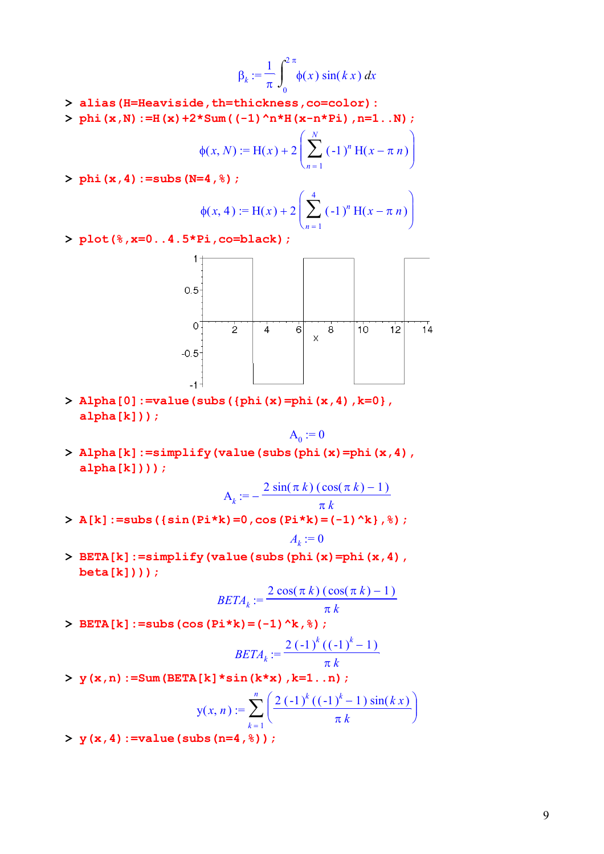$$
\beta_k := \frac{1}{\pi} \int_0^{2\pi} \phi(x) \sin(kx) dx
$$

- **> alias(H=Heaviside,th=thickness,co=color):**
- **> phi(x,N):=H(x)+2\*Sum((-1)^n\*H(x-n\*Pi),n=1..N);**

$$
\Phi(x, N) := H(x) + 2 \left( \sum_{n=1}^{N} (-1)^n H(x - \pi n) \right)
$$

**> phi(x,4):=subs(N=4,%);**

$$
\phi(x, 4) := H(x) + 2 \left( \sum_{n=1}^{4} (-1)^n H(x - \pi n) \right)
$$

**> plot(%,x=0..4.5\*Pi,co=black);**



**> Alpha[0]:=value(subs({phi(x)=phi(x,4),k=0}, alpha[k]));**

$$
\mathbf{A}_0 := \mathbf{0}
$$

**> Alpha[k]:=simplify(value(subs(phi(x)=phi(x,4), alpha[k])));**

$$
A_k := -\frac{2\sin(\pi k)\left(\cos(\pi k) - 1\right)}{\pi k}
$$

- **> A[k]:=subs({sin(Pi\*k)=0,cos(Pi\*k)=(-1)^k},%);**  $A_k := 0$
- **> BETA[k]:=simplify(value(subs(phi(x)=phi(x,4), beta[k])));**

$$
BETA_k := \frac{2 \cos(\pi k) (\cos(\pi k) - 1)}{\pi k}
$$

**> BETA[k]:=subs(cos(Pi\*k)=(-1)^k,%);**

$$
BETA_k := \frac{2(-1)^k ((-1)^k - 1)}{\pi k}
$$

**> y(x,n):=Sum(BETA[k]\*sin(k\*x),k=1..n);**

$$
y(x, n) := \sum_{k=1}^{n} \left( \frac{2 (-1)^k ((-1)^k - 1) \sin(k x)}{\pi k} \right)
$$

**> y(x,4):=value(subs(n=4,%));**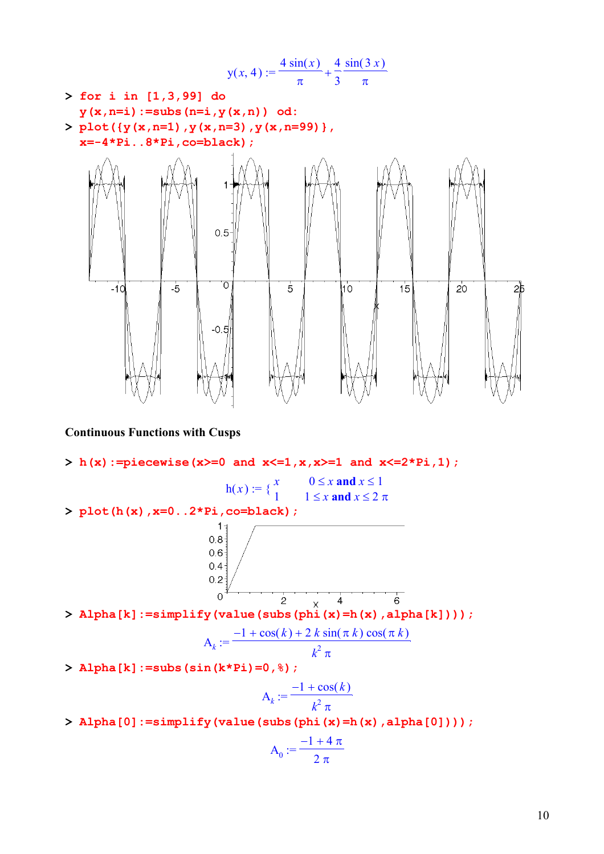$$
y(x, 4) := \frac{4 \sin(x)}{\pi} + \frac{4}{3} \frac{\sin(3x)}{\pi}
$$
  
> for i in [1,3,99] do  

$$
y(x, n=i) := \text{subs } (n=i, y(x, n))
$$
 od:  
> plot({ $y(x, n=1), y(x, n=3), y(x, n=99)$ },  
x=-4 \* Pi. .8 \* Pi. co=black);  

$$
y(x, 4) := \frac{4 \sin(x)}{\pi} + \frac{4}{3} \frac{\sin(3x)}{\pi}
$$



# **Continuous Functions with Cusps**

**> h(x):=piecewise(x>=0 and x<=1,x,x>=1 and x<=2\*Pi,1);** h( ) *<sup>x</sup>* := { *<sup>x</sup>* <sup>0</sup> ≤ *x* **and** *x* ≤ <sup>1</sup> 1 1 ≤ *x* **and** *x* ≤ 2 π **> plot(h(x),x=0..2\*Pi,co=black); > Alpha[k]:=simplify(value(subs(phi(x)=h(x),alpha[k])));** Α := *<sup>k</sup>* − + + 1 () cos *k* 2 *k* sin( ) π *k* cos( ) π *k k* 2 π **> Alpha[k]:=subs(sin(k\*Pi)=0,%);** Α := *<sup>k</sup>* − + 1 () cos *k k* 2 π **> Alpha[0]:=simplify(value(subs(phi(x)=h(x),alpha[0])));**

$$
A_0:=\frac{-1+4\,\pi}{2\,\pi}
$$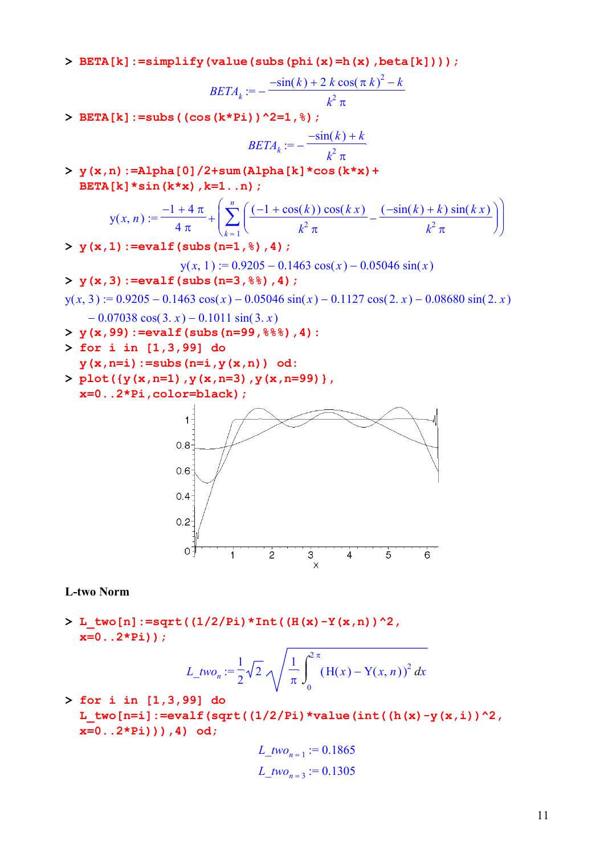**> BETA[k]:=simplify(value(subs(phi(x)=h(x),beta[k])));**

$$
BETA_k := -\frac{-\sin(k) + 2 k \cos(\pi k)^2 - k}{k^2 \pi}
$$

**> BETA[k]:=subs((cos(k\*Pi))^2=1,%);**

$$
BETA_k := -\frac{-\sin(k) + k}{k^2 \pi}
$$

**> y(x,n):=Alpha[0]/2+sum(Alpha[k]\*cos(k\*x)+ BETA[k]\*sin(k\*x),k=1..n);**

$$
y(x, n) := \frac{-1 + 4\pi}{4\pi} + \left( \sum_{k=1}^{n} \left( \frac{(-1 + \cos(k))\cos(kx)}{k^2 \pi} - \frac{(-\sin(k) + k)\sin(kx)}{k^2 \pi} \right) \right)
$$

**> y(x,1):=evalf(subs(n=1,%),4);**

$$
y(x, 1) := 0.9205 - 0.1463 \cos(x) - 0.05046 \sin(x)
$$

$$
> y(x,3):=evalf(subs(n=3,88),4);
$$

$$
y(x, 3) := 0.9205 - 0.1463 \cos(x) - 0.05046 \sin(x) - 0.1127 \cos(2x) - 0.08680 \sin(2x) - 0.07038 \cos(3x) - 0.1011 \sin(3x)
$$

- **> y(x,99):=evalf(subs(n=99,%%%),4):**
- **> for i in [1,3,99] do**
- **y(x,n=i):=subs(n=i,y(x,n)) od:**
- **> plot({y(x,n=1),y(x,n=3),y(x,n=99)}, x=0..2\*Pi,color=black);**



#### **L-two Norm**

**> L\_two[n]:=sqrt((1/2/Pi)\*Int((H(x)-Y(x,n))^2, x=0..2\*Pi));**

$$
L_{\perp} \text{two}_n := \frac{1}{2} \sqrt{2} \sqrt{\frac{1}{\pi} \int_0^{2\pi} (H(x) - Y(x, n))^2 dx}
$$

**> for i in [1,3,99] do**  L two[n=i]:=evalf(sqrt( $(1/2/Pi)*value(int((h(x)-y(x,i))^2,$ **x=0..2\*Pi))),4) od;**

$$
L_{\perp} \text{two}_{n=1} := 0.1865
$$
  

$$
L_{\perp} \text{two}_{n=3} := 0.1305
$$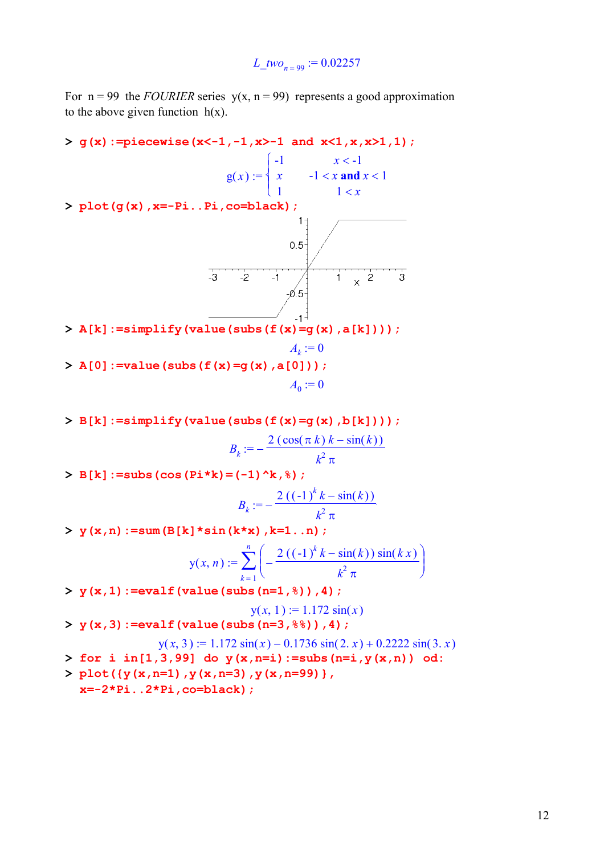*L\_two*<sub>n = 99</sub> := 0.02257

For  $n = 99$  the *FOURIER* series  $y(x, n = 99)$  represents a good approximation to the above given function  $h(x)$ .

**> g(x):=piecewise(x<-1,-1,x>-1 and x<1,x,x>1,1);**  $\sqrt{ }$  $\begin{cases}\n-1 & x < -1 \\
x & -1 < x \text{ and } x < 1\n\end{cases}$  $g(x) :=$  $\overline{\mathsf{L}}$ 1  $1 < x$ **> plot(g(x),x=-Pi..Pi,co=black);**  $1 +$  $0.5 -1$ <br> $-0.5$  $\overline{-2}$  $\overline{x}$  2 **> A[k]:=simplify(value(subs(f(x)=g(x),a[k])));**  $A_k := 0$ **> A[0]:=value(subs(f(x)=g(x),a[0]));**  $A_0 := 0$ 

**> B[k]:=simplify(value(subs(f(x)=g(x),b[k])));**  $B_k := -\frac{2(\cos(\pi k) k - \sin(k))}{k^2 \pi}$ 

**> B[k]:=subs(cos(Pi\*k)=(-1)^k,%);**

$$
B_k := -\frac{2 ((-1)^k k - \sin(k))}{k^2 \pi}
$$

**> y(x,n):=sum(B[k]\*sin(k\*x),k=1..n);**

$$
y(x, n) := \sum_{k=1}^{n} \left( -\frac{2 ((-1)^k k - \sin(k)) \sin(k x)}{k^2 \pi} \right)
$$

**> y(x,1):=evalf(value(subs(n=1,%)),4);**

$$
y(x, 1) := 1.172 \sin(x)
$$
  
> y(x, 3) :=evalf (value (subs (n=3, %)) , 4 ;

$$
y(x, 3) := 1.172 \sin(x) - 0.1736 \sin(2, x) + 0.2222 \sin(3, x)
$$

- **> for i in[1,3,99] do y(x,n=i):=subs(n=i,y(x,n)) od:**
- **> plot({y(x,n=1),y(x,n=3),y(x,n=99)}, x=-2\*Pi..2\*Pi,co=black);**